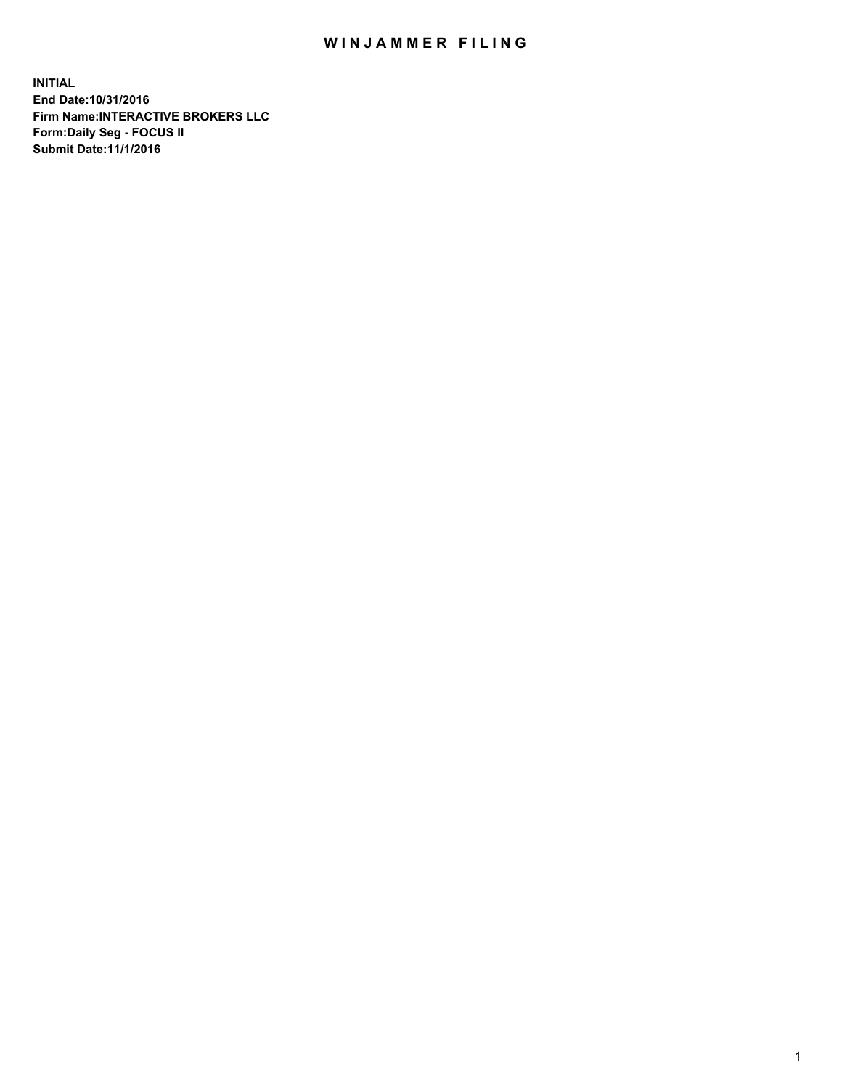## WIN JAMMER FILING

**INITIAL End Date:10/31/2016 Firm Name:INTERACTIVE BROKERS LLC Form:Daily Seg - FOCUS II Submit Date:11/1/2016**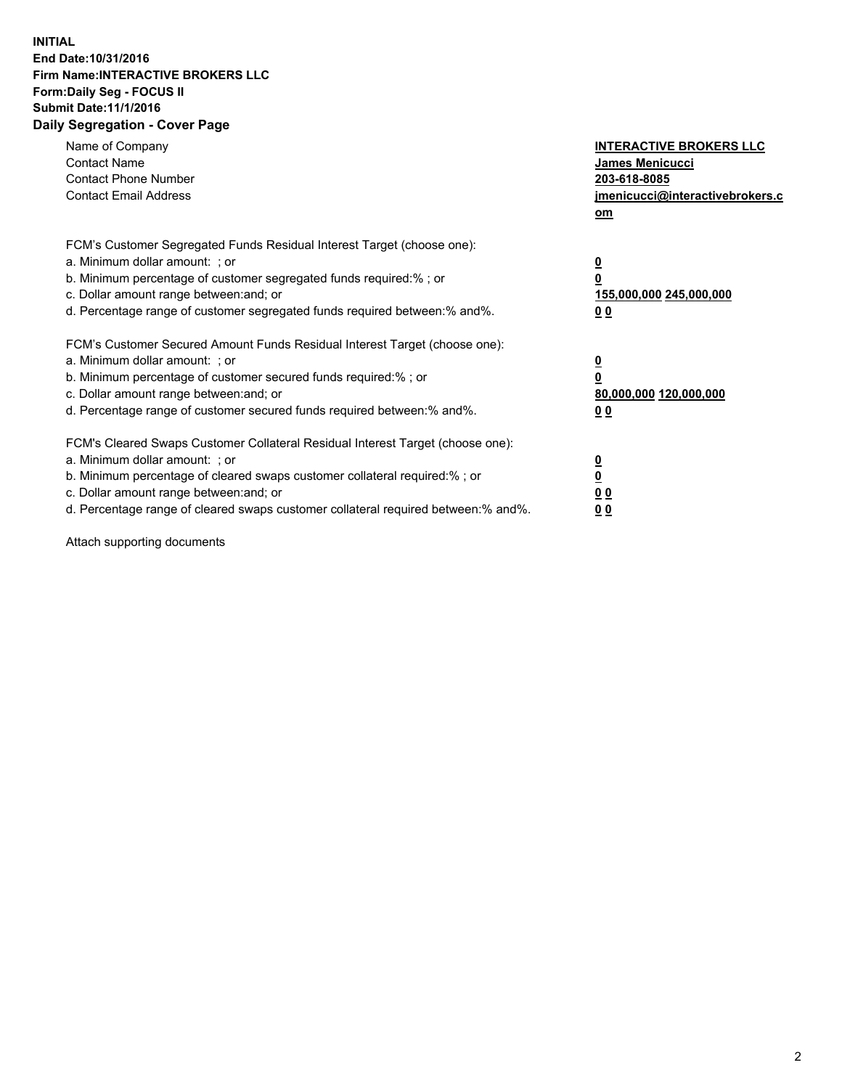## **INITIAL End Date:10/31/2016 Firm Name:INTERACTIVE BROKERS LLC Form:Daily Seg - FOCUS II Submit Date:11/1/2016 Daily Segregation - Cover Page**

| Name of Company<br><b>Contact Name</b><br><b>Contact Phone Number</b><br><b>Contact Email Address</b>                                                                                                                                                                                                                          | <b>INTERACTIVE BROKERS LLC</b><br><b>James Menicucci</b><br>203-618-8085<br>jmenicucci@interactivebrokers.c<br>om |
|--------------------------------------------------------------------------------------------------------------------------------------------------------------------------------------------------------------------------------------------------------------------------------------------------------------------------------|-------------------------------------------------------------------------------------------------------------------|
| FCM's Customer Segregated Funds Residual Interest Target (choose one):<br>a. Minimum dollar amount: ; or<br>b. Minimum percentage of customer segregated funds required:% ; or<br>c. Dollar amount range between: and; or<br>d. Percentage range of customer segregated funds required between:% and%.                         | $\overline{\mathbf{0}}$<br>0<br><u>155,000,000 245,000,000</u><br><u>00</u>                                       |
| FCM's Customer Secured Amount Funds Residual Interest Target (choose one):<br>a. Minimum dollar amount: ; or<br>b. Minimum percentage of customer secured funds required:%; or<br>c. Dollar amount range between: and; or<br>d. Percentage range of customer secured funds required between:% and%.                            | $\overline{\mathbf{0}}$<br>$\overline{\mathbf{0}}$<br>80,000,000 120,000,000<br>00                                |
| FCM's Cleared Swaps Customer Collateral Residual Interest Target (choose one):<br>a. Minimum dollar amount: ; or<br>b. Minimum percentage of cleared swaps customer collateral required:% ; or<br>c. Dollar amount range between: and; or<br>d. Percentage range of cleared swaps customer collateral required between:% and%. | $\underline{\mathbf{0}}$<br>$\underline{\mathbf{0}}$<br>0 <sub>0</sub><br>0 <sub>0</sub>                          |

Attach supporting documents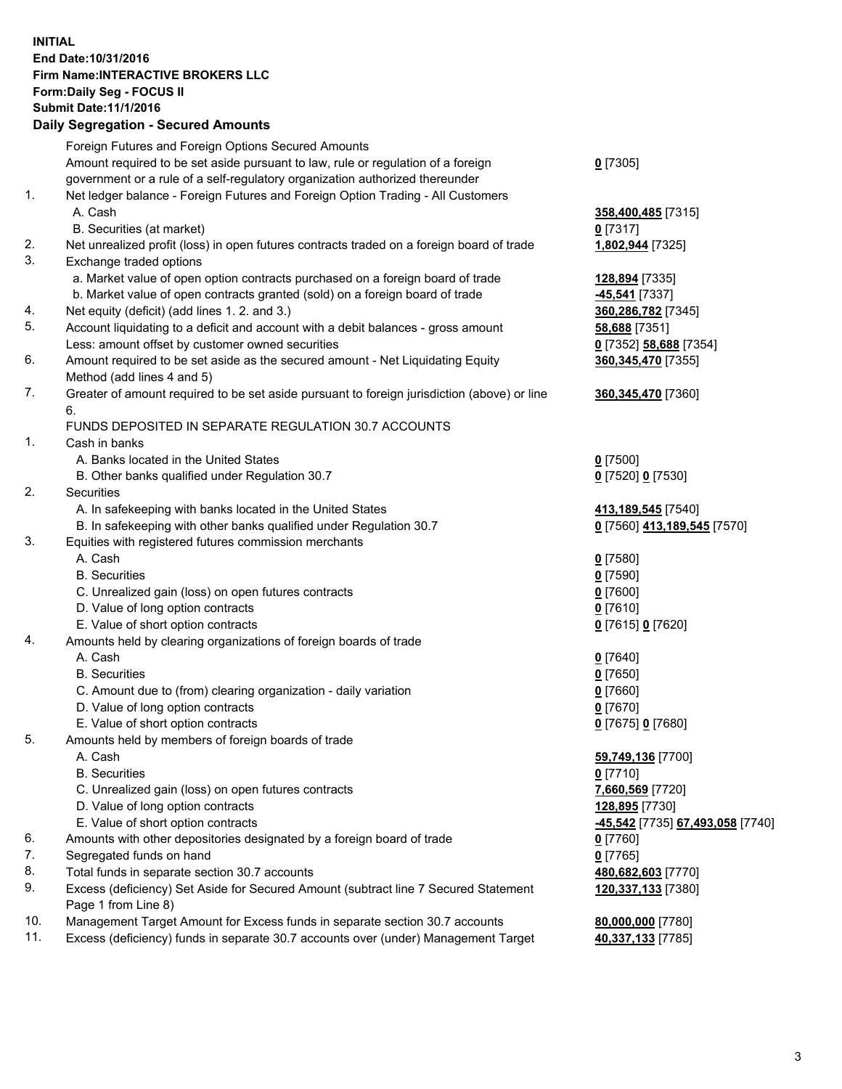## **INITIAL End Date:10/31/2016 Firm Name:INTERACTIVE BROKERS LLC Form:Daily Seg - FOCUS II Submit Date:11/1/2016 Daily Segregation - Secured Amounts**

|     | Foreign Futures and Foreign Options Secured Amounts                                         |                                  |
|-----|---------------------------------------------------------------------------------------------|----------------------------------|
|     | Amount required to be set aside pursuant to law, rule or regulation of a foreign            | $0$ [7305]                       |
|     | government or a rule of a self-regulatory organization authorized thereunder                |                                  |
| 1.  | Net ledger balance - Foreign Futures and Foreign Option Trading - All Customers             |                                  |
|     | A. Cash                                                                                     | 358,400,485 [7315]               |
|     | B. Securities (at market)                                                                   | $0$ [7317]                       |
| 2.  | Net unrealized profit (loss) in open futures contracts traded on a foreign board of trade   | 1,802,944 [7325]                 |
| 3.  | Exchange traded options                                                                     |                                  |
|     | a. Market value of open option contracts purchased on a foreign board of trade              | 128,894 [7335]                   |
|     | b. Market value of open contracts granted (sold) on a foreign board of trade                | -45,541 [7337]                   |
| 4.  | Net equity (deficit) (add lines 1.2. and 3.)                                                | 360,286,782 [7345]               |
| 5.  | Account liquidating to a deficit and account with a debit balances - gross amount           | 58,688 [7351]                    |
|     | Less: amount offset by customer owned securities                                            | 0 [7352] 58,688 [7354]           |
| 6.  | Amount required to be set aside as the secured amount - Net Liquidating Equity              | 360, 345, 470 [7355]             |
|     | Method (add lines 4 and 5)                                                                  |                                  |
| 7.  | Greater of amount required to be set aside pursuant to foreign jurisdiction (above) or line | 360, 345, 470 [7360]             |
|     | 6.                                                                                          |                                  |
|     | FUNDS DEPOSITED IN SEPARATE REGULATION 30.7 ACCOUNTS                                        |                                  |
| 1.  | Cash in banks                                                                               |                                  |
|     | A. Banks located in the United States                                                       | $0$ [7500]                       |
|     | B. Other banks qualified under Regulation 30.7                                              | 0 [7520] 0 [7530]                |
| 2.  | Securities                                                                                  |                                  |
|     | A. In safekeeping with banks located in the United States                                   | 413,189,545 [7540]               |
|     | B. In safekeeping with other banks qualified under Regulation 30.7                          | 0 [7560] 413,189,545 [7570]      |
| 3.  | Equities with registered futures commission merchants                                       |                                  |
|     | A. Cash                                                                                     | $0$ [7580]                       |
|     | <b>B.</b> Securities                                                                        | $0$ [7590]                       |
|     | C. Unrealized gain (loss) on open futures contracts                                         | $0$ [7600]                       |
|     | D. Value of long option contracts                                                           | $0$ [7610]                       |
|     | E. Value of short option contracts                                                          | 0 [7615] 0 [7620]                |
| 4.  | Amounts held by clearing organizations of foreign boards of trade                           |                                  |
|     | A. Cash                                                                                     | $0$ [7640]                       |
|     | <b>B.</b> Securities                                                                        | $0$ [7650]                       |
|     | C. Amount due to (from) clearing organization - daily variation                             | $0$ [7660]                       |
|     | D. Value of long option contracts                                                           | $0$ [7670]                       |
|     | E. Value of short option contracts                                                          | 0 [7675] 0 [7680]                |
| 5.  | Amounts held by members of foreign boards of trade                                          |                                  |
|     | A. Cash                                                                                     | 59,749,136 [7700]                |
|     | <b>B.</b> Securities                                                                        | $0$ [7710]                       |
|     | C. Unrealized gain (loss) on open futures contracts                                         | 7,660,569 [7720]                 |
|     | D. Value of long option contracts                                                           | 128,895 [7730]                   |
|     | E. Value of short option contracts                                                          | -45,542 [7735] 67,493,058 [7740] |
| 6.  | Amounts with other depositories designated by a foreign board of trade                      | $0$ [7760]                       |
| 7.  | Segregated funds on hand                                                                    | $0$ [7765]                       |
| 8.  | Total funds in separate section 30.7 accounts                                               | 480,682,603 [7770]               |
| 9.  | Excess (deficiency) Set Aside for Secured Amount (subtract line 7 Secured Statement         | 120,337,133 [7380]               |
|     | Page 1 from Line 8)                                                                         |                                  |
| 10. | Management Target Amount for Excess funds in separate section 30.7 accounts                 | 80,000,000 [7780]                |
| 11. | Excess (deficiency) funds in separate 30.7 accounts over (under) Management Target          | 40,337,133 [7785]                |
|     |                                                                                             |                                  |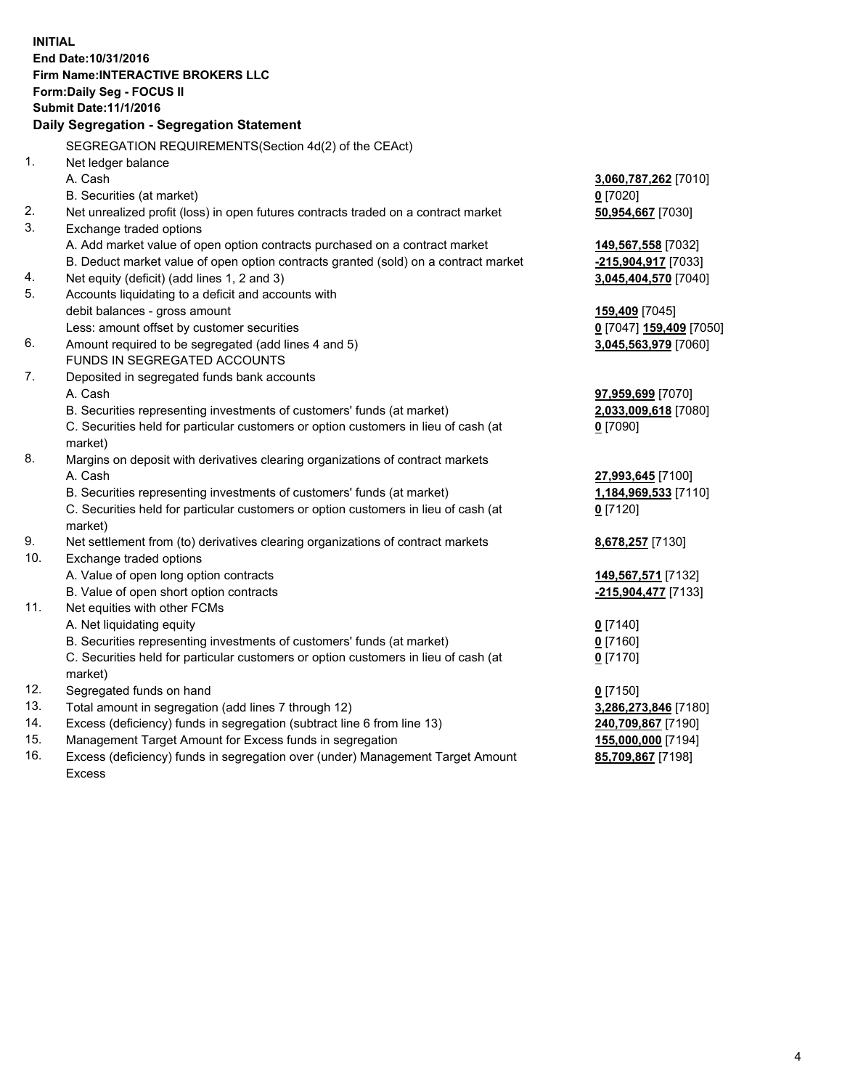**INITIAL End Date:10/31/2016 Firm Name:INTERACTIVE BROKERS LLC Form:Daily Seg - FOCUS II Submit Date:11/1/2016 Daily Segregation - Segregation Statement** SEGREGATION REQUIREMENTS(Section 4d(2) of the CEAct) 1. Net ledger balance A. Cash **3,060,787,262** [7010] B. Securities (at market) **0** [7020] 2. Net unrealized profit (loss) in open futures contracts traded on a contract market **50,954,667** [7030] 3. Exchange traded options A. Add market value of open option contracts purchased on a contract market **149,567,558** [7032] B. Deduct market value of open option contracts granted (sold) on a contract market **-215,904,917** [7033] 4. Net equity (deficit) (add lines 1, 2 and 3) **3,045,404,570** [7040] 5. Accounts liquidating to a deficit and accounts with debit balances - gross amount **159,409** [7045] Less: amount offset by customer securities **0** [7047] **159,409** [7050] 6. Amount required to be segregated (add lines 4 and 5) **3,045,563,979** [7060] FUNDS IN SEGREGATED ACCOUNTS 7. Deposited in segregated funds bank accounts A. Cash **97,959,699** [7070] B. Securities representing investments of customers' funds (at market) **2,033,009,618** [7080] C. Securities held for particular customers or option customers in lieu of cash (at market) **0** [7090] 8. Margins on deposit with derivatives clearing organizations of contract markets A. Cash **27,993,645** [7100] B. Securities representing investments of customers' funds (at market) **1,184,969,533** [7110] C. Securities held for particular customers or option customers in lieu of cash (at market) **0** [7120] 9. Net settlement from (to) derivatives clearing organizations of contract markets **8,678,257** [7130] 10. Exchange traded options A. Value of open long option contracts **149,567,571** [7132] B. Value of open short option contracts **-215,904,477** [7133] 11. Net equities with other FCMs A. Net liquidating equity **0** [7140] B. Securities representing investments of customers' funds (at market) **0** [7160] C. Securities held for particular customers or option customers in lieu of cash (at market) **0** [7170] 12. Segregated funds on hand **0** [7150] 13. Total amount in segregation (add lines 7 through 12) **3,286,273,846** [7180] 14. Excess (deficiency) funds in segregation (subtract line 6 from line 13) **240,709,867** [7190] 15. Management Target Amount for Excess funds in segregation **155,000,000** [7194]

16. Excess (deficiency) funds in segregation over (under) Management Target Amount Excess

**85,709,867** [7198]